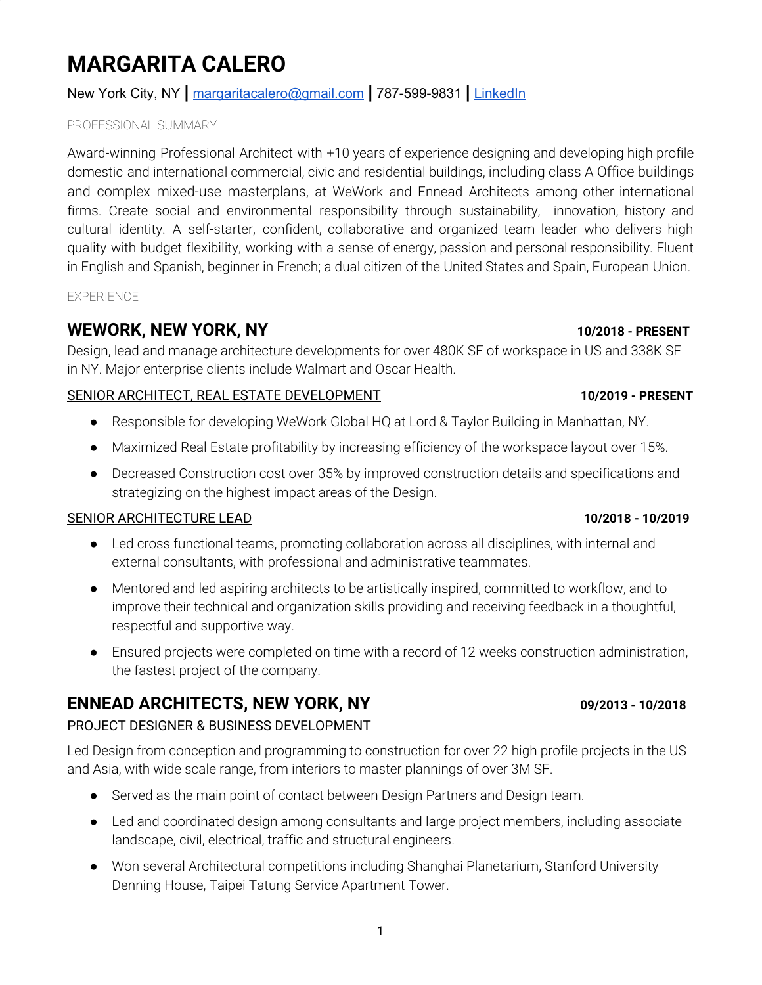# **MARGARITA CALERO**

# New York City, NY **|** [margaritacalero@gmail.com](mailto:margaritacalero@gmail.com) **|** 787-599-9831 **|** [LinkedIn](https://www.linkedin.com/in/margarita-calero-67112673/)

### PROFESSIONAL SUMMARY

Award-winning Professional Architect with +10 years of experience designing and developing high profile domestic and international commercial, civic and residential buildings, including class A Office buildings and complex mixed-use masterplans, at WeWork and Ennead Architects among other international firms. Create social and environmental responsibility through sustainability, innovation, history and cultural identity. A self-starter, confident, collaborative and organized team leader who delivers high quality with budget flexibility, working with a sense of energy, passion and personal responsibility. Fluent in English and Spanish, beginner in French; a dual citizen of the United States and Spain, European Union.

EXPERIENCE

# **WEWORK, NEW YORK, NY 10/2018 - PRESENT**

Design, lead and manage architecture developments for over 480K SF of workspace in US and 338K SF in NY. Major enterprise clients include Walmart and Oscar Health.

# SENIOR ARCHITECT, REAL ESTATE DEVELOPMENT **10/2019 - PRESENT**

- Responsible for developing WeWork Global HQ at Lord & Taylor Building in Manhattan, NY.
- Maximized Real Estate profitability by increasing efficiency of the workspace layout over 15%.
- Decreased Construction cost over 35% by improved construction details and specifications and strategizing on the highest impact areas of the Design.

# SENIOR ARCHITECTURE LEAD **10/2018 - 10/2019**

- Led cross functional teams, promoting collaboration across all disciplines, with internal and external consultants, with professional and administrative teammates.
- Mentored and led aspiring architects to be artistically inspired, committed to workflow, and to improve their technical and organization skills providing and receiving feedback in a thoughtful, respectful and supportive way.
- Ensured projects were completed on time with a record of 12 weeks construction administration, the fastest project of the company.

# **ENNEAD ARCHITECTS, NEW YORK, NY 09/2013 - 10/2018**

# PROJECT DESIGNER & BUSINESS DEVELOPMENT

Led Design from conception and programming to construction for over 22 high profile projects in the US and Asia, with wide scale range, from interiors to master plannings of over 3M SF.

- Served as the main point of contact between Design Partners and Design team.
- Led and coordinated design among consultants and large project members, including associate landscape, civil, electrical, traffic and structural engineers.
- Won several Architectural competitions including Shanghai Planetarium, Stanford University Denning House, Taipei Tatung Service Apartment Tower.